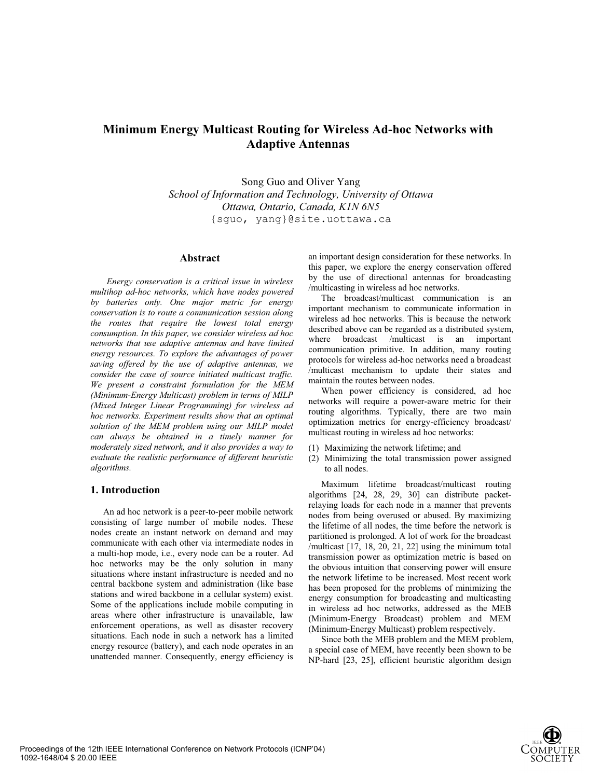# **Minimum Energy Multicast Routing for Wireless Ad-hoc Networks with Adaptive Antennas**

Song Guo and Oliver Yang *School of Information and Technology, University of Ottawa Ottawa, Ontario, Canada, K1N 6N5* {sguo, yang}@site.uottawa.ca

# **Abstract**

*Energy conservation is a critical issue in wireless multihop ad-hoc networks, which have nodes powered by batteries only. One major metric for energy conservation is to route a communication session along the routes that require the lowest total energy consumption. In this paper, we consider wireless ad hoc networks that use adaptive antennas and have limited energy resources. To explore the advantages of power saving offered by the use of adaptive antennas, we consider the case of source initiated multicast traffic. We present a constraint formulation for the MEM (Minimum-Energy Multicast) problem in terms of MILP (Mixed Integer Linear Programming) for wireless ad hoc networks. Experiment results show that an optimal solution of the MEM problem using our MILP model can always be obtained in a timely manner for moderately sized network, and it also provides a way to evaluate the realistic performance of different heuristic algorithms.*

## **1. Introduction**

An ad hoc network is a peer-to-peer mobile network consisting of large number of mobile nodes. These nodes create an instant network on demand and may communicate with each other via intermediate nodes in a multi-hop mode, i.e., every node can be a router. Ad hoc networks may be the only solution in many situations where instant infrastructure is needed and no central backbone system and administration (like base stations and wired backbone in a cellular system) exist. Some of the applications include mobile computing in areas where other infrastructure is unavailable, law enforcement operations, as well as disaster recovery situations. Each node in such a network has a limited energy resource (battery), and each node operates in an unattended manner. Consequently, energy efficiency is

an important design consideration for these networks. In this paper, we explore the energy conservation offered by the use of directional antennas for broadcasting /multicasting in wireless ad hoc networks.

The broadcast/multicast communication is an important mechanism to communicate information in wireless ad hoc networks. This is because the network described above can be regarded as a distributed system, where broadcast /multicast is an important communication primitive. In addition, many routing protocols for wireless ad-hoc networks need a broadcast /multicast mechanism to update their states and maintain the routes between nodes.

When power efficiency is considered, ad hoc networks will require a power-aware metric for their routing algorithms. Typically, there are two main optimization metrics for energy-efficiency broadcast/ multicast routing in wireless ad hoc networks:

- (1) Maximizing the network lifetime; and
- (2) Minimizing the total transmission power assigned to all nodes.

Maximum lifetime broadcast/multicast routing algorithms [24, 28, 29, 30] can distribute packetrelaying loads for each node in a manner that prevents nodes from being overused or abused. By maximizing the lifetime of all nodes, the time before the network is partitioned is prolonged. A lot of work for the broadcast /multicast  $[17, 18, 20, 21, 22]$  using the minimum total transmission power as optimization metric is based on the obvious intuition that conserving power will ensure the network lifetime to be increased. Most recent work has been proposed for the problems of minimizing the energy consumption for broadcasting and multicasting in wireless ad hoc networks, addressed as the MEB (Minimum-Energy Broadcast) problem and MEM (Minimum-Energy Multicast) problem respectively.

Since both the MEB problem and the MEM problem, a special case of MEM, have recently been shown to be NP-hard [23, 25], efficient heuristic algorithm design

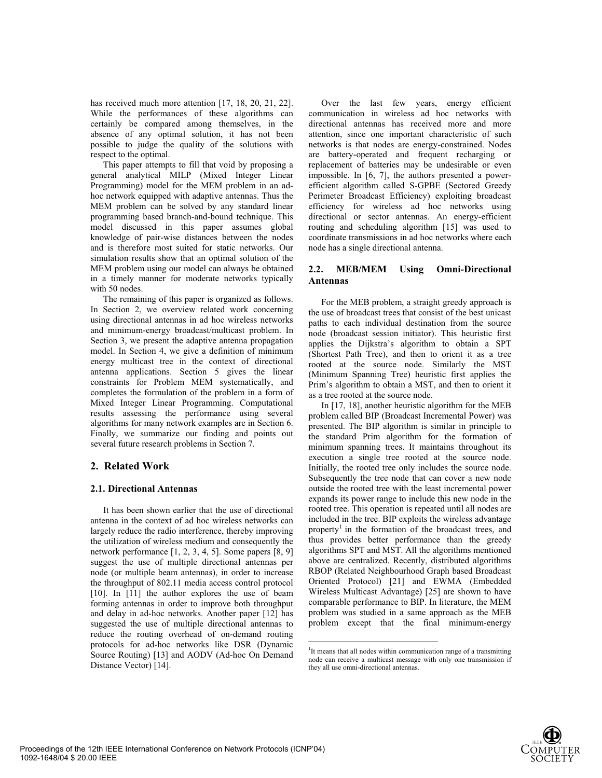has received much more attention [17, 18, 20, 21, 22]. While the performances of these algorithms can certainly be compared among themselves, in the absence of any optimal solution, it has not been possible to judge the quality of the solutions with respect to the optimal.

This paper attempts to fill that void by proposing a general analytical MILP (Mixed Integer Linear Programming) model for the MEM problem in an adhoc network equipped with adaptive antennas. Thus the MEM problem can be solved by any standard linear programming based branch-and-bound technique. This model discussed in this paper assumes global knowledge of pair-wise distances between the nodes and is therefore most suited for static networks. Our simulation results show that an optimal solution of the MEM problem using our model can always be obtained in a timely manner for moderate networks typically with 50 nodes.

The remaining of this paper is organized as follows. In Section 2, we overview related work concerning using directional antennas in ad hoc wireless networks and minimum-energy broadcast/multicast problem. In Section 3, we present the adaptive antenna propagation model. In Section 4, we give a definition of minimum energy multicast tree in the context of directional antenna applications. Section 5 gives the linear constraints for Problem MEM systematically, and completes the formulation of the problem in a form of Mixed Integer Linear Programming. Computational results assessing the performance using several algorithms for many network examples are in Section 6. Finally, we summarize our finding and points out several future research problems in Section 7.

# **2. Related Work**

# **2.1. Directional Antennas**

It has been shown earlier that the use of directional antenna in the context of ad hoc wireless networks can largely reduce the radio interference, thereby improving the utilization of wireless medium and consequently the network performance [1, 2, 3, 4, 5]. Some papers [8, 9] suggest the use of multiple directional antennas per node (or multiple beam antennas), in order to increase the throughput of 802.11 media access control protocol [10]. In [11] the author explores the use of beam forming antennas in order to improve both throughput and delay in ad-hoc networks. Another paper [12] has suggested the use of multiple directional antennas to reduce the routing overhead of on-demand routing protocols for ad-hoc networks like DSR (Dynamic Source Routing) [13] and AODV (Ad-hoc On Demand Distance Vector) [14].

Over the last few years, energy efficient communication in wireless ad hoc networks with directional antennas has received more and more attention, since one important characteristic of such networks is that nodes are energy-constrained. Nodes are battery-operated and frequent recharging or replacement of batteries may be undesirable or even impossible. In [6, 7], the authors presented a powerefficient algorithm called S-GPBE (Sectored Greedy Perimeter Broadcast Efficiency) exploiting broadcast efficiency for wireless ad hoc networks using directional or sector antennas. An energy-efficient routing and scheduling algorithm [15] was used to coordinate transmissions in ad hoc networks where each node has a single directional antenna.

# **2.2. MEB/MEM Using Omni-Directional Antennas**

For the MEB problem, a straight greedy approach is the use of broadcast trees that consist of the best unicast paths to each individual destination from the source node (broadcast session initiator). This heuristic first applies the Dijkstra's algorithm to obtain a SPT (Shortest Path Tree), and then to orient it as a tree rooted at the source node. Similarly the MST (Minimum Spanning Tree) heuristic first applies the Prim's algorithm to obtain a MST, and then to orient it as a tree rooted at the source node.

In [17, 18], another heuristic algorithm for the MEB problem called BIP (Broadcast Incremental Power) was presented. The BIP algorithm is similar in principle to the standard Prim algorithm for the formation of minimum spanning trees. It maintains throughout its execution a single tree rooted at the source node. Initially, the rooted tree only includes the source node. Subsequently the tree node that can cover a new node outside the rooted tree with the least incremental power expands its power range to include this new node in the rooted tree. This operation is repeated until all nodes are included in the tree. BIP exploits the wireless advantage property<sup>1</sup> in the formation of the broadcast trees, and thus provides better performance than the greedy algorithms SPT and MST. All the algorithms mentioned above are centralized. Recently, distributed algorithms RBOP (Related Neighbourhood Graph based Broadcast Oriented Protocol) [21] and EWMA (Embedded Wireless Multicast Advantage) [25] are shown to have comparable performance to BIP. In literature, the MEM problem was studied in a same approach as the MEB problem except that the final minimum-energy



<sup>&</sup>lt;sup>1</sup>It means that all nodes within communication range of a transmitting node can receive a multicast message with only one transmission if they all use omni-directional antennas.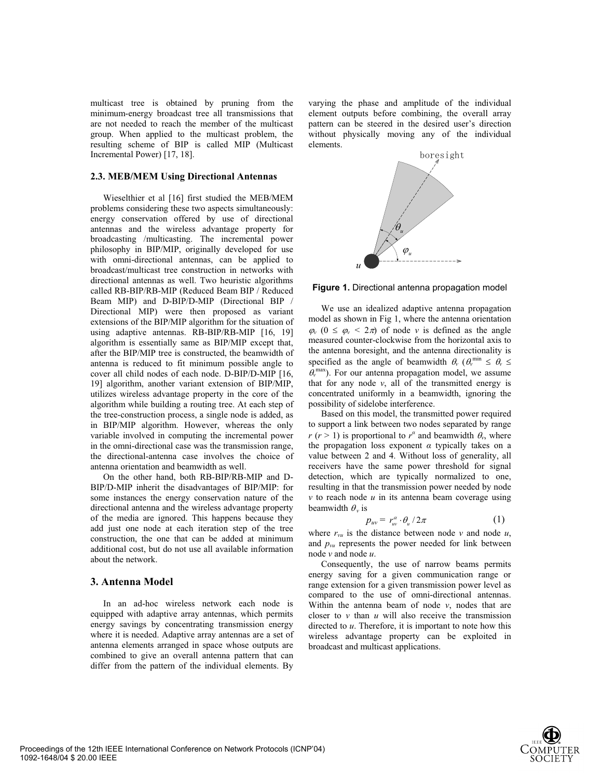multicast tree is obtained by pruning from the minimum-energy broadcast tree all transmissions that are not needed to reach the member of the multicast group. When applied to the multicast problem, the resulting scheme of BIP is called MIP (Multicast Incremental Power) [17, 18].

#### **2.3. MEB/MEM Using Directional Antennas**

Wieselthier et al [16] first studied the MEB/MEM problems considering these two aspects simultaneously: energy conservation offered by use of directional antennas and the wireless advantage property for broadcasting /multicasting. The incremental power philosophy in BIP/MIP, originally developed for use with omni-directional antennas, can be applied to broadcast/multicast tree construction in networks with directional antennas as well. Two heuristic algorithms called RB-BIP/RB-MIP (Reduced Beam BIP / Reduced Beam MIP) and D-BIP/D-MIP (Directional BIP / Directional MIP) were then proposed as variant extensions of the BIP/MIP algorithm for the situation of using adaptive antennas. RB-BIP/RB-MIP [16, 19] algorithm is essentially same as BIP/MIP except that, after the BIP/MIP tree is constructed, the beamwidth of antenna is reduced to fit minimum possible angle to cover all child nodes of each node. D-BIP/D-MIP [16, 19] algorithm, another variant extension of BIP/MIP, utilizes wireless advantage property in the core of the algorithm while building a routing tree. At each step of the tree-construction process, a single node is added, as in BIP/MIP algorithm. However, whereas the only variable involved in computing the incremental power in the omni-directional case was the transmission range, the directional-antenna case involves the choice of antenna orientation and beamwidth as well.

On the other hand, both RB-BIP/RB-MIP and D-BIP/D-MIP inherit the disadvantages of BIP/MIP: for some instances the energy conservation nature of the directional antenna and the wireless advantage property of the media are ignored. This happens because they add just one node at each iteration step of the tree construction, the one that can be added at minimum additional cost, but do not use all available information about the network.

# **3. Antenna Model**

In an ad-hoc wireless network each node is equipped with adaptive array antennas, which permits energy savings by concentrating transmission energy where it is needed. Adaptive array antennas are a set of antenna elements arranged in space whose outputs are combined to give an overall antenna pattern that can differ from the pattern of the individual elements. By

varying the phase and amplitude of the individual element outputs before combining, the overall array pattern can be steered in the desired user's direction without physically moving any of the individual elements.



**Figure 1.** Directional antenna propagation model

We use an idealized adaptive antenna propagation model as shown in Fig 1, where the antenna orientation  $\varphi$  (0  $\leq \varphi$   $\lt$  2 $\pi$ ) of node *v* is defined as the angle measured counter-clockwise from the horizontal axis to the antenna boresight, and the antenna directionality is specified as the angle of beamwidth  $\theta_v$  ( $\theta_v^{\text{min}} \leq \theta_v$ )  $\theta_{v}^{\text{max}}$ ). For our antenna propagation model, we assume that for any node  $v$ , all of the transmitted energy is concentrated uniformly in a beamwidth, ignoring the possibility of sidelobe interference.

Based on this model, the transmitted power required to support a link between two nodes separated by range *r* (*r* > 1) is proportional to  $r^a$  and beamwidth  $\theta_v$ , where the propagation loss exponent  $\alpha$  typically takes on a value between 2 and 4. Without loss of generality, all receivers have the same power threshold for signal detection, which are typically normalized to one, resulting in that the transmission power needed by node *v* to reach node *u* in its antenna beam coverage using beamwidth  $\theta$ <sup>v</sup> is

$$
p_{uv} = r_{uv}^{\alpha} \cdot \theta_u / 2\pi \tag{1}
$$

where  $r_{vu}$  is the distance between node  $v$  and node  $u$ , and  $p_{vu}$  represents the power needed for link between node *v* and node *u*.

Consequently, the use of narrow beams permits energy saving for a given communication range or range extension for a given transmission power level as compared to the use of omni-directional antennas. Within the antenna beam of node *v*, nodes that are closer to  $\nu$  than  $u$  will also receive the transmission directed to *u*. Therefore, it is important to note how this wireless advantage property can be exploited in broadcast and multicast applications.

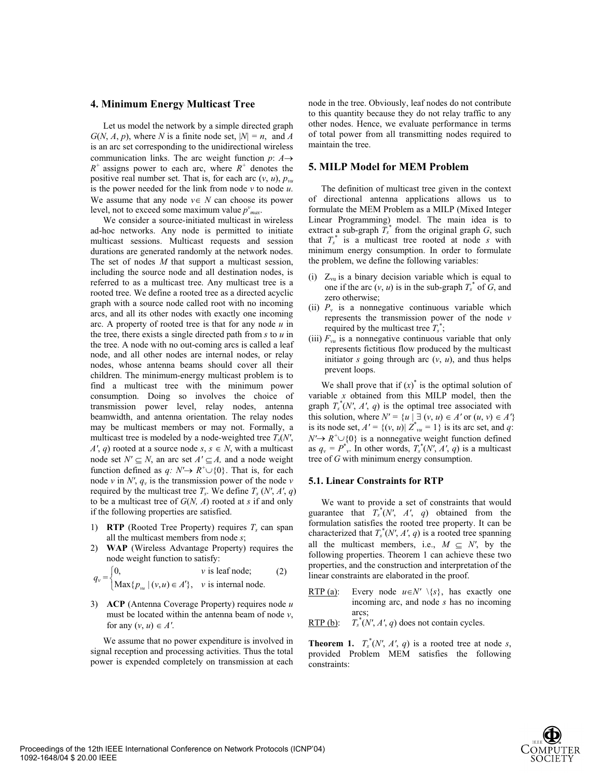### **4. Minimum Energy Multicast Tree**

Let us model the network by a simple directed graph  $G(N, A, p)$ , where *N* is a finite node set,  $|N| = n$ , and *A* is an arc set corresponding to the unidirectional wireless communication links. The arc weight function  $p: A \rightarrow$  $R^+$  assigns power to each arc, where  $R^+$  denotes the positive real number set. That is, for each arc  $(v, u)$ ,  $p_{vu}$ is the power needed for the link from node *v* to node *u*. We assume that any node  $v \in N$  can choose its power level, not to exceed some maximum value  $p_{\max}^v$ .

We consider a source-initiated multicast in wireless ad-hoc networks. Any node is permitted to initiate multicast sessions. Multicast requests and session durations are generated randomly at the network nodes. The set of nodes *M* that support a multicast session, including the source node and all destination nodes, is referred to as a multicast tree. Any multicast tree is a rooted tree. We define a rooted tree as a directed acyclic graph with a source node called root with no incoming arcs, and all its other nodes with exactly one incoming arc. A property of rooted tree is that for any node *u* in the tree, there exists a single directed path from *s* to *u* in the tree. A node with no out-coming arcs is called a leaf node, and all other nodes are internal nodes, or relay nodes, whose antenna beams should cover all their children. The minimum-energy multicast problem is to find a multicast tree with the minimum power consumption. Doing so involves the choice of transmission power level, relay nodes, antenna beamwidth, and antenna orientation. The relay nodes may be multicast members or may not. Formally, a multicast tree is modeled by a node-weighted tree  $T_s(N)$ ,  $A'$ , *q*) rooted at a source node *s*,  $s \in N$ , with a multicast node set  $N' \subseteq N$ , an arc set  $A' \subseteq A$ , and a node weight function defined as  $q: N' \rightarrow R^+ \cup \{0\}$ . That is, for each node  $v$  in  $N'$ ,  $q_v$  is the transmission power of the node  $v$ required by the multicast tree  $T_s$ . We define  $T_s$  (*N'*, *A'*, *q*) to be a multicast tree of *G*(*N, A*) rooted at *s* if and only if the following properties are satisfied.

- 1) **RTP** (Rooted Tree Property) requires  $T_s$  can span all the multicast members from node *s*;
- 2) **WAP** (Wireless Advantage Property) requires the node weight function to satisfy:

$$
q_{v} = \begin{cases} 0, & v \text{ is leaf node;} \\ \text{Max} \{ p_{vu} \mid (v, u) \in A' \}, & v \text{ is internal node.} \end{cases}
$$
 (2)

3) **ACP** (Antenna Coverage Property) requires node *u* must be located within the antenna beam of node *v*, for any  $(v, u) \in A'$ .

We assume that no power expenditure is involved in signal reception and processing activities. Thus the total power is expended completely on transmission at each

node in the tree. Obviously, leaf nodes do not contribute to this quantity because they do not relay traffic to any other nodes. Hence, we evaluate performance in terms of total power from all transmitting nodes required to maintain the tree.

# **5. MILP Model for MEM Problem**

The definition of multicast tree given in the context of directional antenna applications allows us to formulate the MEM Problem as a MILP (Mixed Integer Linear Programming) model. The main idea is to extract a sub-graph  $T_s^*$  from the original graph *G*, such that  $T_s^*$  is a multicast tree rooted at node *s* with minimum energy consumption. In order to formulate the problem, we define the following variables:

- (i)  $Z_{vu}$  is a binary decision variable which is equal to one if the arc  $(v, u)$  is in the sub-graph  $T_s^*$  of  $G$ , and zero otherwise;
- (ii)  $P_v$  is a nonnegative continuous variable which represents the transmission power of the node *v* required by the multicast tree  $T_s^*$ ;
- (iii)  $F_{vu}$  is a nonnegative continuous variable that only represents fictitious flow produced by the multicast initiator  $s$  going through arc  $(v, u)$ , and thus helps prevent loops.

We shall prove that if  $(x)$ <sup>\*</sup> is the optimal solution of variable *x* obtained from this MILP model, then the graph  $T_s^*(N', A', q)$  is the optimal tree associated with this solution, where  $N' = \{u \mid \exists (v, u) \in A' \text{ or } (u, v) \in A'\}$ is its node set,  $A' = \{(v, u) | Z^*_{vu} = 1\}$  is its arc set, and *q*:  $N' \rightarrow R^+ \cup \{0\}$  is a nonnegative weight function defined as  $q_v = P^*_{v}$ . In other words,  $T_s^*(N', A', q)$  is a multicast tree of *G* with minimum energy consumption.

#### **5.1. Linear Constraints for RTP**

We want to provide a set of constraints that would guarantee that  $T_s^*(N', A', q)$  obtained from the formulation satisfies the rooted tree property. It can be characterized that  $T_s^*(N', A', q)$  is a rooted tree spanning all the multicast members, i.e.,  $M \subseteq N'$ , by the following properties. Theorem 1 can achieve these two properties, and the construction and interpretation of the linear constraints are elaborated in the proof.

RTP (a): Every node  $u \in N' \setminus \{s\}$ , has exactly one incoming arc, and node *s* has no incoming arcs;

RTP (b):  $^*(N', A', q)$  does not contain cycles.

**Theorem 1.**  $T_s^*(N', A', q)$  is a rooted tree at node *s*, provided Problem MEM satisfies the following constraints:

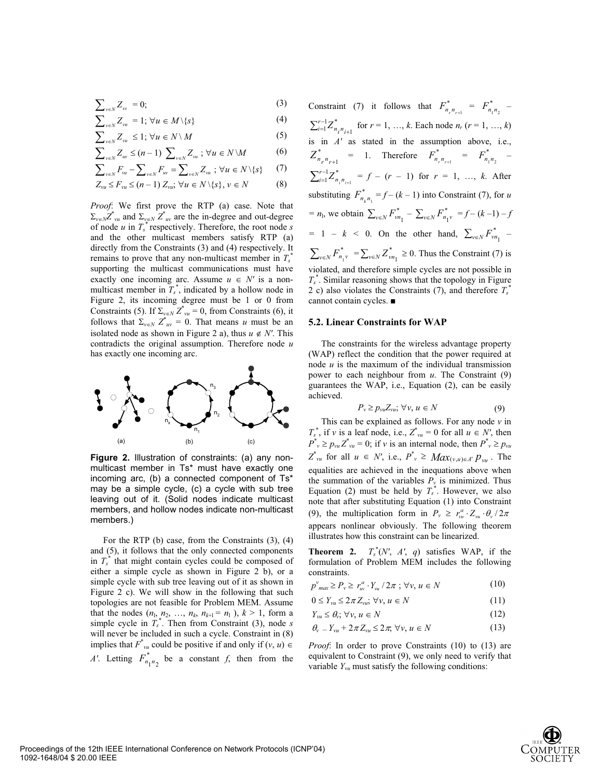$$
\sum_{v \in N} Z_{vs} = 0; \tag{3}
$$

$$
\sum_{v \in N} Z_{vu} = 1; \forall u \in M \setminus \{s\} \tag{4}
$$

$$
\sum_{v \in N} Z_{vu} \leq 1; \forall u \in N \setminus M \tag{5}
$$

$$
\sum_{v \in N} Z_{uv} \le (n-1) \sum_{v \in N} Z_{vu} ; \forall u \in N \setminus M \tag{6}
$$

$$
\sum_{v \in N} F_{vu} - \sum_{v \in N} F_{uv} = \sum_{v \in N} Z_{vu} \; ; \; \forall u \in N \setminus \{s\} \qquad (7)
$$

$$
Z_{vu} \leq F_{vu} \leq (n-1) Z_{vu}; \,\forall u \in N \setminus \{s\}, v \in N
$$
 (8)

*Proof*: We first prove the RTP (a) case. Note that  $\sum_{v \in N} Z^*_{vu}$  and  $\sum_{v \in N} Z^*_{uv}$  are the in-degree and out-degree of node  $u$  in  $T_s^*$  respectively. Therefore, the root node  $s$ and the other multicast members satisfy RTP (a) directly from the Constraints (3) and (4) respectively. It remains to prove that any non-multicast member in  $T_s^*$ supporting the multicast communications must have exactly one incoming arc. Assume  $u \in N'$  is a nonmulticast member in  $T_s^*$ , indicated by a hollow node in Figure 2, its incoming degree must be 1 or 0 from Constraints (5). If  $\Sigma_{v \in N} Z^*_{vu} = 0$ , from Constraints (6), it follows that  $\Sigma_{v \in N} Z^*_{uv} = 0$ . That means *u* must be an isolated node as shown in Figure 2 a), thus  $u \notin N'$ . This contradicts the original assumption. Therefore node *u* has exactly one incoming arc.



**Figure 2.** Illustration of constraints: (a) any nonmulticast member in Ts\* must have exactly one incoming arc, (b) a connected component of Ts\* may be a simple cycle, (c) a cycle with sub tree leaving out of it. (Solid nodes indicate multicast members, and hollow nodes indicate non-multicast members.)

For the RTP (b) case, from the Constraints (3), (4) and (5), it follows that the only connected components in  $T_s^*$  that might contain cycles could be composed of either a simple cycle as shown in Figure 2 b), or a simple cycle with sub tree leaving out of it as shown in Figure 2 c). We will show in the following that such topologies are not feasible for Problem MEM. Assume that the nodes  $(n_1, n_2, ..., n_k, n_{k+1} = n_1)$ ,  $k > 1$ , form a simple cycle in  $T_s^*$ . Then from Constraint (3), node *s* will never be included in such a cycle. Constraint in (8) implies that  $F^*_{vu}$  could be positive if and only if  $(v, u) \in$ *A'*. Letting  $F_{n_1 n_2}^*$  be a constant *f*, then from the

Constraint (7) it follows that  $F_{n_r, n_{r+1}}^* = F_{n_1, n_2}^*$  $\sum_{i=1}^{r-1}Z_{n_i n_{i+1}}^*$ 1  $\sum_{i=1}^{r-1} Z_{n_i n_{i+1}}^*$  for  $r = 1, ..., k$ . Each node  $n_r$  ( $r = 1, ..., k$ ) is in  $A'$  as stated in the assumption above, i.e.,  $Z_{n_r n_{r+1}}^* = 1$ . Therefore  $F_{n_r n_{r+1}}^* = F_{n_1 n_2}^*$  $\sum_{i=1}^{r-1}Z_{n_{i}n_{i+}}^{*}$ 1  $^{1}_{1}Z_{n}^{*}$ 1  $\int_{i=1}^{r-1} Z_{n_i n_{i+1}}^* = f - (r - 1)$  for  $r = 1, ..., k$ . After substituting  $F_{n_k n_1}^* = f - (k - 1)$  into Constraint (7), for *u = n*<sub>1</sub>, we obtain  $\sum_{v \in N} F_{vn_1}^* - \sum_{v \in N} F_{n_1v}^* = f - (k-1) - f$  $= 1 - k < 0$ . On the other hand,  $\sum_{v \in N} F_{vn_1}^*$  $\sum_{v \in N} F_{n_v}^*$  $\sum_{v \in N} z^*_{v n_1} \ge 0$ . Thus the Constraint (7) is violated, and therefore simple cycles are not possible in  $T_s^*$ . Similar reasoning shows that the topology in Figure 2 c) also violates the Constraints (7), and therefore  $T_s^*$ cannot contain cycles.  $\blacksquare$ 

#### **5.2. Linear Constraints for WAP**

The constraints for the wireless advantage property (WAP) reflect the condition that the power required at node *u* is the maximum of the individual transmission power to each neighbour from *u*. The Constraint (9) guarantees the WAP, i.e., Equation (2), can be easily achieved.

$$
P_{v} \ge p_{vu} Z_{vu}; \,\forall v, u \in N \tag{9}
$$

This can be explained as follows. For any node *v* in  $T_s^*$ , if *v* is a leaf node, i.e.,  $Z^*_{vu} = 0$  for all  $u \in N'$ , then  $P^*$ <sup>*v*</sup>  $\ge p_{vu} Z^*$ <sub>*vu*</sub> = 0; if *v* is an internal node, then  $P^*$ <sup>*v*</sup>  $\ge p_{vu}$  $Z^*_{vu}$  for all  $u \in N'$ , i.e.,  $P^*_{v} \geq Max_{(v,u)\in A'}p_{vu}$ . The equalities are achieved in the inequations above when the summation of the variables  $P_{\nu}$  is minimized. Thus Equation (2) must be held by  $T_s^*$ . However, we also note that after substituting Equation (1) into Constraint (9), the multiplication form in  $P_v \ge r_{vu}^{\alpha} \cdot Z_{vu} \cdot \theta_v / 2\pi$ appears nonlinear obviously. The following theorem illustrates how this constraint can be linearized.

Theorem 2. \* (*N'*, *A'*, *q*) satisfies WAP, if the formulation of Problem MEM includes the following constraints.

$$
p_{\max}^{\nu} \ge P_{\nu} \ge r_{\nu}^{\alpha} \cdot Y_{\nu} / 2\pi \; ; \; \forall \nu, u \in N \tag{10}
$$

$$
0 \le Y_{vu} \le 2\pi Z_{vu}; \,\forall v, u \in N \tag{11}
$$

$$
Y_{vu} \leq \theta_v; \,\forall v, u \in N \tag{12}
$$

$$
\theta_{v} = Y_{vu} + 2\pi Z_{vu} \leq 2\pi, \,\forall v, u \in N \tag{13}
$$

*Proof*: In order to prove Constraints (10) to (13) are equivalent to Constraint (9), we only need to verify that variable  $Y_{vu}$  must satisfy the following conditions:

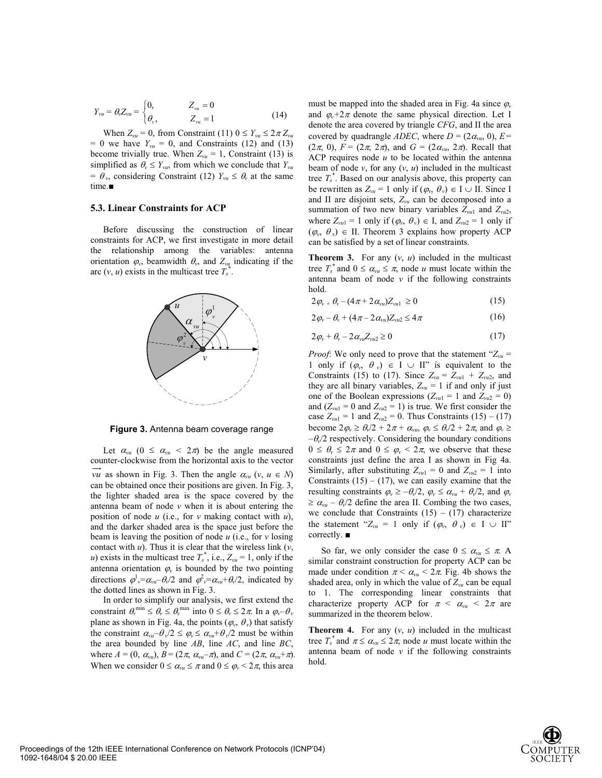$$
Y_{vu} = \theta_v Z_{vu} = \begin{cases} 0, & Z_{vu} = 0 \\ \theta_v, & Z_{vu} = 1 \end{cases}
$$
 (14)

When  $Z_{vu} = 0$ , from Constraint (11)  $0 \le Y_{vu} \le 2\pi Z_{vu}$  $= 0$  we have  $Y_{vu} = 0$ , and Constraints (12) and (13) become trivially true. When  $Z_{vu} = 1$ , Constraint (13) is simplified as  $\theta_v \leq Y_{vu}$ , from which we conclude that  $Y_{vu}$  $= \theta_{\nu}$ , considering Constraint (12)  $Y_{\nu} \leq \theta_{\nu}$  at the same time. $\blacksquare$ 

#### **5.3. Linear Constraints for ACP**

Before discussing the construction of linear constraints for ACP, we first investigate in more detail the relationship among the variables: antenna orientation  $\varphi_{\nu}$ , beamwidth  $\theta_{\nu}$ , and  $Z_{\nu}$  indicating if the arc  $(v, u)$  exists in the multicast tree  $T_s^*$ .



**Figure 3.** Antenna beam coverage range

Let  $\alpha_{vu}$  ( $0 \leq \alpha_{vu} < 2\pi$ ) be the angle measured counter-clockwise from the horizontal axis to the vector *vu* as shown in Fig. 3. Then the angle  $\alpha_{vu}$  (*v*,  $u \in N$ ) can be obtained once their positions are given. In Fig. 3, the lighter shaded area is the space covered by the antenna beam of node *v* when it is about entering the position of node *u* (i.e., for *v* making contact with *u*), and the darker shaded area is the space just before the beam is leaving the position of node *u* (i.e., for *v* losing contact with *u*). Thus it is clear that the wireless link (*v*, *u*) exists in the multicast tree  $T_s^*$ , i.e.,  $Z_{vu} = 1$ , only if the antenna orientation  $\varphi$  is bounded by the two pointing directions  $\varphi^1 v = \alpha_{vu} - \theta_v/2$  and  $\varphi^2 v = \alpha_{vu} + \theta_v/2$ , indicated by the dotted lines as shown in Fig. 3.

In order to simplify our analysis, we first extend the constraint  $\theta_{\nu}^{\min} \leq \theta_{\nu} \leq \theta_{\nu}^{\max}$  into  $0 \leq \theta_{\nu} \leq 2\pi$ . In a  $\varphi_{\nu} - \theta_{\nu}$ plane as shown in Fig. 4a, the points ( $\varphi_v$ ,  $\theta_v$ ) that satisfy the constraint  $\alpha_{vu}$ - $\theta_{v}/2 \leq \varphi_v \leq \alpha_{vu}+\theta_{v}/2$  must be within the area bounded by line *AB*, line *AC*, and line *BC*, where  $A = (0, \alpha_{vu}), B = (2\pi, \alpha_{vu}-\pi),$  and  $C = (2\pi, \alpha_{vu}+\pi).$ When we consider  $0 \le \alpha_{vu} \le \pi$  and  $0 \le \varphi_v \le 2\pi$ , this area

must be mapped into the shaded area in Fig. 4a since  $\varphi$ and  $\varphi_{\nu}+2\pi$  denote the same physical direction. Let I denote the area covered by triangle *CFG*, and II the area covered by quadrangle *ADEC*, where  $D = (2\alpha_{vu}, 0), E =$  $(2\pi, 0), F = (2\pi, 2\pi),$  and  $G = (2\alpha_{vu}, 2\pi)$ . Recall that ACP requires node *u* to be located within the antenna beam of node  $v$ , for any  $(v, u)$  included in the multicast tree  $T_s^*$ . Based on our analysis above, this property can be rewritten as  $Z_{vu} = 1$  only if  $(\varphi_v, \theta_v) \in I \cup II$ . Since I and II are disjoint sets, *Zvu* can be decomposed into a summation of two new binary variables  $Z_{vu1}$  and  $Z_{vu2}$ , where  $Z_{vu1} = 1$  only if  $(\varphi_v, \theta_v) \in I$ , and  $Z_{vu2} = 1$  only if  $(\varphi_v, \theta_v) \in$  II. Theorem 3 explains how property ACP can be satisfied by a set of linear constraints.

**Theorem 3.** For any  $(v, u)$  included in the multicast tree  $T_s^*$  and  $0 \le \alpha_{vu} \le \pi$ , node *u* must locate within the antenna beam of node  $v$  if the following constraints hold.

$$
2\varphi_{v} + \theta_{v} - (4\pi + 2\alpha_{vu})Z_{vu1} \ge 0 \tag{15}
$$

$$
2\varphi_{v} - \theta_{v} + (4\pi - 2\alpha_{vu})Z_{vu2} \le 4\pi \tag{16}
$$

$$
2\varphi_v + \theta_v - 2\alpha_{vu} Z_{vu2} \ge 0 \tag{17}
$$

*Proof*: We only need to prove that the statement " $Z_{vu}$  = 1 only if  $(\varphi_v, \theta_v) \in I \cup II$ " is equivalent to the Constraints (15) to (17). Since  $Z_{vu} = Z_{vu} + Z_{vu}$ , and they are all binary variables,  $Z_{vu} = 1$  if and only if just one of the Boolean expressions  $(Z_{vu1} = 1 \text{ and } Z_{vu2} = 0)$ and  $(Z_{vu1} = 0$  and  $Z_{vu2} = 1)$  is true. We first consider the case  $Z_{vu1} = 1$  and  $Z_{vu2} = 0$ . Thus Constraints (15) – (17) become  $2\varphi_v \ge \theta_v/2 + 2\pi + \alpha_{vu}$ ,  $\varphi_v \le \theta_v/2 + 2\pi$ , and  $\varphi_v \ge$  $-\theta_v/2$  respectively. Considering the boundary conditions  $0 \le \theta_v \le 2\pi$  and  $0 \le \varphi_v < 2\pi$ , we observe that these constraints just define the area I as shown in Fig 4a. Similarly, after substituting  $Z_{vu1} = 0$  and  $Z_{vu2} = 1$  into Constraints  $(15) - (17)$ , we can easily examine that the resulting constraints  $\varphi_v \geq -\theta_v/2$ ,  $\varphi_v \leq \alpha_{vu} + \theta_v/2$ , and  $\varphi_v$  $\geq \alpha_{vu} - \theta_v/2$  define the area II. Combing the two cases, we conclude that Constraints  $(15) - (17)$  characterize the statement " $Z_{vu} = 1$  only if  $(\varphi_v, \theta_v) \in I \cup II$ " correctly.  $\blacksquare$ 

So far, we only consider the case  $0 \le \alpha_{vu} \le \pi$ . A similar constraint construction for property ACP can be made under condition  $\pi < \alpha_{vu} < 2\pi$ . Fig. 4b shows the shaded area, only in which the value of  $Z_{vu}$  can be equal to 1. The corresponding linear constraints that characterize property ACP for  $\pi < \alpha_{vu} < 2\pi$  are summarized in the theorem below.

**Theorem 4.** For any  $(v, u)$  included in the multicast tree  $T_s^*$  and  $\pi \le \alpha_{vu} \le 2\pi$ , node *u* must locate within the antenna beam of node  $v$  if the following constraints hold.

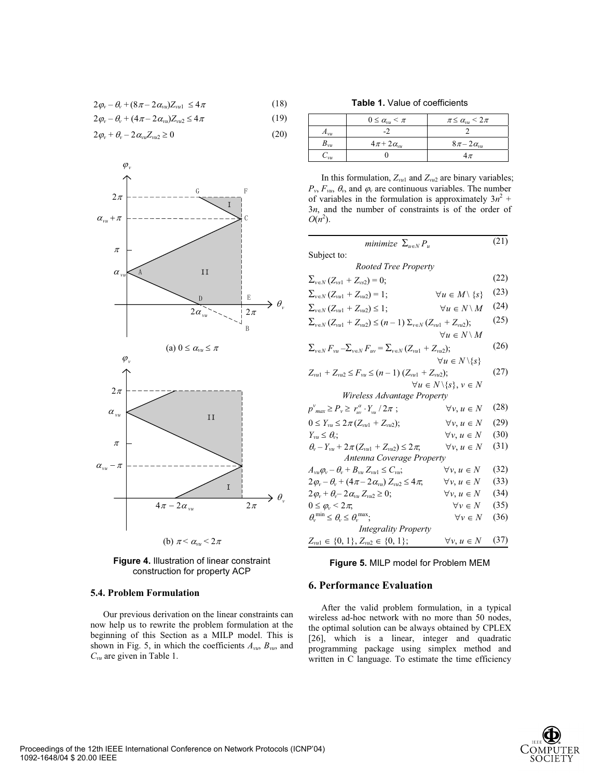$$
2\varphi_v - \theta_v + (8\pi - 2\alpha_{vu})Z_{vu1} \le 4\pi \tag{18}
$$

$$
2\varphi_v - \theta_v + (4\pi - 2\alpha_{vu})Z_{vu2} \le 4\pi \tag{19}
$$

$$
2\varphi_v + \theta_v - 2\alpha_{vu} Z_{vu2} \ge 0 \tag{20}
$$





#### **5.4. Problem Formulation**

Our previous derivation on the linear constraints can now help us to rewrite the problem formulation at the beginning of this Section as a MILP model. This is shown in Fig. 5, in which the coefficients  $A_{vu}$ ,  $B_{vu}$ , and *Cvu* are given in Table 1.

# **Table 1.** Value of coefficients

|             | $0 \leq \alpha_{vu} \leq \pi$ | $\pi \leq \alpha_{vu} < 2\pi$ |
|-------------|-------------------------------|-------------------------------|
| $A_{\nu u}$ |                               |                               |
| $B_{vu}$    | $4\pi+2\alpha_{vu}$           | $8\pi-2\alpha_{vu}$           |
| $\nu u$     |                               | $4\pi$                        |

In this formulation,  $Z_{vu1}$  and  $Z_{vu2}$  are binary variables;  $P_v$ ,  $F_{vu}$ ,  $\theta_v$ , and  $\varphi_v$  are continuous variables. The number of variables in the formulation is approximately  $3n^2 +$ 3*n*, and the number of constraints is of the order of  $O(n^2)$ .

| minimize $\sum_{u \in N} P_u$                                                         |                                   |      |  |  |  |  |  |
|---------------------------------------------------------------------------------------|-----------------------------------|------|--|--|--|--|--|
| Subject to:                                                                           |                                   |      |  |  |  |  |  |
| Rooted Tree Property                                                                  |                                   |      |  |  |  |  |  |
| $\sum_{v \in N} (Z_{vs1} + Z_{vs2}) = 0;$                                             |                                   | (22) |  |  |  |  |  |
| $\sum_{v \in N} (Z_{vu1} + Z_{vu2}) = 1;$                                             | $\forall u \in M \setminus \{s\}$ | (23) |  |  |  |  |  |
| $\sum_{v \in N} (Z_{vu1} + Z_{vu2}) \leq 1;$                                          | $\forall u \in N \setminus M$     | (24) |  |  |  |  |  |
| $\sum_{v \in N} (Z_{vu1} + Z_{vu2}) \le (n-1) \sum_{v \in N} (Z_{vu1} + Z_{vu2});$    |                                   |      |  |  |  |  |  |
|                                                                                       | $\forall u \in N \setminus M$     |      |  |  |  |  |  |
| $\sum_{v \in N} F_{vu} - \sum_{v \in N} F_{uv} = \sum_{v \in N} (Z_{vu1} + Z_{vu2});$ |                                   | (26) |  |  |  |  |  |
|                                                                                       | $\forall u \in N \setminus \{s\}$ |      |  |  |  |  |  |
| $Z_{vu1} + Z_{vu2} \leq F_{vu} \leq (n-1) (Z_{vu1} + Z_{vu2});$                       |                                   |      |  |  |  |  |  |
| $\forall u \in N \setminus \{s\}, v \in N$                                            |                                   |      |  |  |  |  |  |
| Wireless Advantage Property                                                           |                                   |      |  |  |  |  |  |
| $p_{max}^{\nu} \ge P_{\nu} \ge r_{uv}^{\alpha} \cdot Y_{\nu} / 2\pi$ ;                | $\forall v, u \in N$              | (28) |  |  |  |  |  |
| $0 \le Y_{vu} \le 2\pi (Z_{vu1} + Z_{vu2});$                                          | $\forall v, u \in N$              | (29) |  |  |  |  |  |
| $Y_{vu} \leq \theta_{v}$ ;                                                            | $\forall v, u \in N$              | (30) |  |  |  |  |  |
| $\theta_{v} - Y_{vu} + 2\pi (Z_{vu1} + Z_{vu2}) \leq 2\pi$                            | $\forall v, u \in N$              | (31) |  |  |  |  |  |
| Antenna Coverage Property                                                             |                                   |      |  |  |  |  |  |
| $A_{vu}\varphi_v - \theta_v + B_{vu} Z_{vu1} \leq C_{vu2}$                            | $\forall v, u \in N$              | (32) |  |  |  |  |  |
| $2\varphi_v - \theta_v + (4\pi - 2\alpha_{vu}) Z_{vu2} \leq 4\pi$                     | $\forall v, u \in N$              | (33) |  |  |  |  |  |
| $2\varphi_{v}+\theta_{v}-2\alpha_{vu}Z_{vu2}\geq 0;$                                  | $\forall v, u \in N$              | (34) |  |  |  |  |  |
| $0 \leq \varphi_{v} \leq 2\pi$                                                        | $\forall v \in N$                 | (35) |  |  |  |  |  |
| $\theta_{v}^{\min} \leq \theta_{v} \leq \theta_{v}^{\max};$                           | $\forall v \in N$                 | (36) |  |  |  |  |  |
| <b>Integrality Property</b>                                                           |                                   |      |  |  |  |  |  |
| $Z_{vu1} \in \{0, 1\}, Z_{vu2} \in \{0, 1\};$                                         | $\forall v, u \in N$              | (37) |  |  |  |  |  |
|                                                                                       |                                   |      |  |  |  |  |  |

## **Figure 5.** MILP model for Problem MEM

# **6. Performance Evaluation**

After the valid problem formulation, in a typical wireless ad-hoc network with no more than 50 nodes, the optimal solution can be always obtained by CPLEX [26], which is a linear, integer and quadratic programming package using simplex method and written in C language. To estimate the time efficiency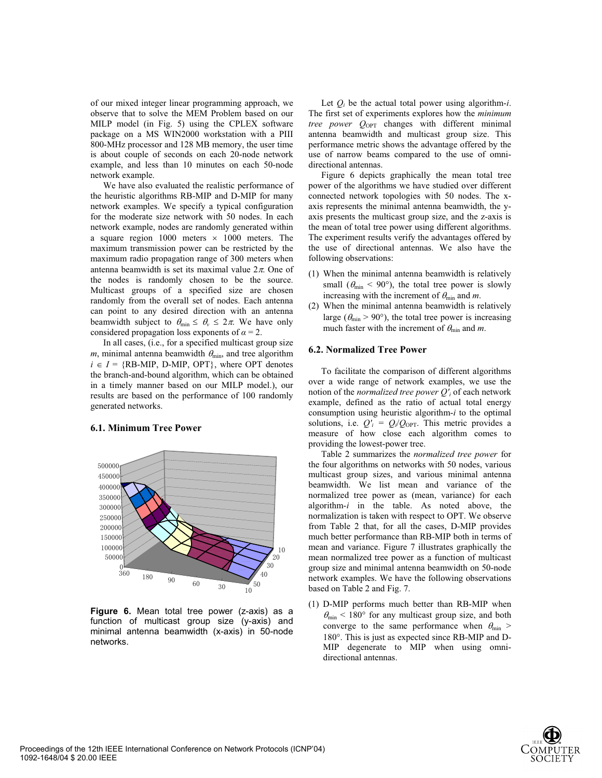of our mixed integer linear programming approach, we observe that to solve the MEM Problem based on our MILP model (in Fig. 5) using the CPLEX software package on a MS WIN2000 workstation with a PIII 800-MHz processor and 128 MB memory, the user time is about couple of seconds on each 20-node network example, and less than 10 minutes on each 50-node network example.

We have also evaluated the realistic performance of the heuristic algorithms RB-MIP and D-MIP for many network examples. We specify a typical configuration for the moderate size network with 50 nodes. In each network example, nodes are randomly generated within a square region 1000 meters  $\times$  1000 meters. The maximum transmission power can be restricted by the maximum radio propagation range of 300 meters when antenna beamwidth is set its maximal value  $2\pi$ . One of the nodes is randomly chosen to be the source. Multicast groups of a specified size are chosen randomly from the overall set of nodes. Each antenna can point to any desired direction with an antenna beamwidth subject to  $\theta_{\min} \leq \theta_v \leq 2\pi$ . We have only considered propagation loss exponents of  $\alpha = 2$ .

In all cases, (i.e., for a specified multicast group size  $m$ , minimal antenna beamwidth  $\theta_{\min}$ , and tree algorithm  $i \in I = \{RB\text{-MIP}, D\text{-MIP}, OPT\}$ , where OPT denotes the branch-and-bound algorithm, which can be obtained in a timely manner based on our MILP model.), our results are based on the performance of 100 randomly generated networks.

## **6.1. Minimum Tree Power**



**Figure 6.** Mean total tree power (z-axis) as a function of multicast group size (y-axis) and minimal antenna beamwidth (x-axis) in 50-node networks.

Let  $Q_i$  be the actual total power using algorithm-*i*. The first set of experiments explores how the *minimum tree power*  $Q_{\text{OPT}}$  changes with different minimal antenna beamwidth and multicast group size. This performance metric shows the advantage offered by the use of narrow beams compared to the use of omnidirectional antennas.

Figure 6 depicts graphically the mean total tree power of the algorithms we have studied over different connected network topologies with 50 nodes. The xaxis represents the minimal antenna beamwidth, the yaxis presents the multicast group size, and the z-axis is the mean of total tree power using different algorithms. The experiment results verify the advantages offered by the use of directional antennas. We also have the following observations:

- (1) When the minimal antenna beamwidth is relatively small ( $\theta_{\min}$  < 90°), the total tree power is slowly increasing with the increment of  $\theta_{\min}$  and *m*.
- (2) When the minimal antenna beamwidth is relatively large ( $\theta_{\min}$  > 90°), the total tree power is increasing much faster with the increment of  $\theta_{\min}$  and *m*.

## **6.2. Normalized Tree Power**

To facilitate the comparison of different algorithms over a wide range of network examples, we use the notion of the *normalized tree power Q'i* of each network example, defined as the ratio of actual total energy consumption using heuristic algorithm-*i* to the optimal solutions, i.e.  $Q_i' = Q_i/Q_{\text{OPT}}$ . This metric provides a measure of how close each algorithm comes to providing the lowest-power tree.

Table 2 summarizes the *normalized tree power* for the four algorithms on networks with 50 nodes, various multicast group sizes, and various minimal antenna beamwidth. We list mean and variance of the normalized tree power as (mean, variance) for each algorithm-*i* in the table. As noted above, the normalization is taken with respect to OPT. We observe from Table 2 that, for all the cases, D-MIP provides much better performance than RB-MIP both in terms of mean and variance. Figure 7 illustrates graphically the mean normalized tree power as a function of multicast group size and minimal antenna beamwidth on 50-node network examples. We have the following observations based on Table 2 and Fig. 7.

(1) D-MIP performs much better than RB-MIP when  $\theta_{\min}$  < 180° for any multicast group size, and both converge to the same performance when  $\theta_{\min}$  > 180°. This is just as expected since RB-MIP and D-MIP degenerate to MIP when using omnidirectional antennas.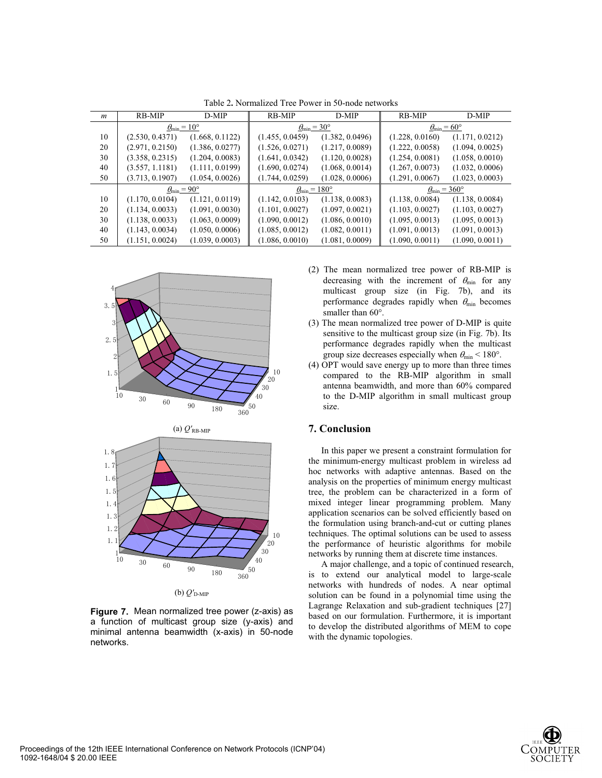| m  | <b>RB-MIP</b>                | D-MIP           | RB-MIP                        | D-MIP           | RB-MIP                        | $D-MIP$         |
|----|------------------------------|-----------------|-------------------------------|-----------------|-------------------------------|-----------------|
|    | $\theta_{\min} = 10^{\circ}$ |                 | $\theta_{\min} = 30^{\circ}$  |                 | $\theta_{\min} = 60^{\circ}$  |                 |
| 10 | (2.530, 0.4371)              | (1.668, 0.1122) | (1.455, 0.0459)               | (1.382, 0.0496) | (1.228, 0.0160)               | (1.171, 0.0212) |
| 20 | (2.971, 0.2150)              | (1.386, 0.0277) | (1.526, 0.0271)               | (1.217, 0.0089) | (1.222, 0.0058)               | (1.094, 0.0025) |
| 30 | (3.358, 0.2315)              | (1.204, 0.0083) | (1.641, 0.0342)               | (1.120, 0.0028) | (1.254, 0.0081)               | (1.058, 0.0010) |
| 40 | (3.557, 1.1181)              | (1.111, 0.0199) | (1.690, 0.0274)               | (1.068, 0.0014) | (1.267, 0.0073)               | (1.032, 0.0006) |
| 50 | (3.713, 0.1907)              | (1.054, 0.0026) | (1.744, 0.0259)               | (1.028, 0.0006) | (1.291, 0.0067)               | (1.023, 0.0003) |
|    | $\theta_{\min} = 90^{\circ}$ |                 | $\theta_{\min} = 180^{\circ}$ |                 | $\theta_{\min} = 360^{\circ}$ |                 |
| 10 | (1.170, 0.0104)              | (1.121, 0.0119) | (1.142, 0.0103)               | (1.138, 0.0083) | (1.138, 0.0084)               | (1.138, 0.0084) |
| 20 | (1.134, 0.0033)              | (1.091, 0.0030) | (1.101, 0.0027)               | (1.097, 0.0021) | (1.103, 0.0027)               | (1.103, 0.0027) |
| 30 | (1.138, 0.0033)              | (1.063, 0.0009) | (1.090, 0.0012)               | (1.086, 0.0010) | (1.095, 0.0013)               | (1.095, 0.0013) |
| 40 | (1.143, 0.0034)              | (1.050, 0.0006) | (1.085, 0.0012)               | (1.082, 0.0011) | (1.091, 0.0013)               | (1.091, 0.0013) |
| 50 | (1.151, 0.0024)              | (1.039, 0.0003) | (1.086, 0.0010)               | (1.081, 0.0009) | (1.090, 0.0011)               | (1.090, 0.0011) |

Table 2**.** Normalized Tree Power in 50-node networks



**Figure 7.** Mean normalized tree power (z-axis) as a function of multicast group size (y-axis) and minimal antenna beamwidth (x-axis) in 50-node networks.

- (2) The mean normalized tree power of RB-MIP is decreasing with the increment of  $\theta_{\min}$  for any multicast group size (in Fig. 7b), and its performance degrades rapidly when  $\theta_{\min}$  becomes smaller than  $60^\circ$ .
- (3) The mean normalized tree power of D-MIP is quite sensitive to the multicast group size (in Fig. 7b). Its performance degrades rapidly when the multicast group size decreases especially when  $\theta_{\min}$  < 180°.
- (4) OPT would save energy up to more than three times compared to the RB-MIP algorithm in small antenna beamwidth, and more than 60% compared to the D-MIP algorithm in small multicast group size.

# **7. Conclusion**

In this paper we present a constraint formulation for the minimum-energy multicast problem in wireless ad hoc networks with adaptive antennas. Based on the analysis on the properties of minimum energy multicast tree, the problem can be characterized in a form of mixed integer linear programming problem. Many application scenarios can be solved efficiently based on the formulation using branch-and-cut or cutting planes techniques. The optimal solutions can be used to assess the performance of heuristic algorithms for mobile networks by running them at discrete time instances.

A major challenge, and a topic of continued research, is to extend our analytical model to large-scale networks with hundreds of nodes. A near optimal solution can be found in a polynomial time using the Lagrange Relaxation and sub-gradient techniques [27] based on our formulation. Furthermore, it is important to develop the distributed algorithms of MEM to cope with the dynamic topologies.